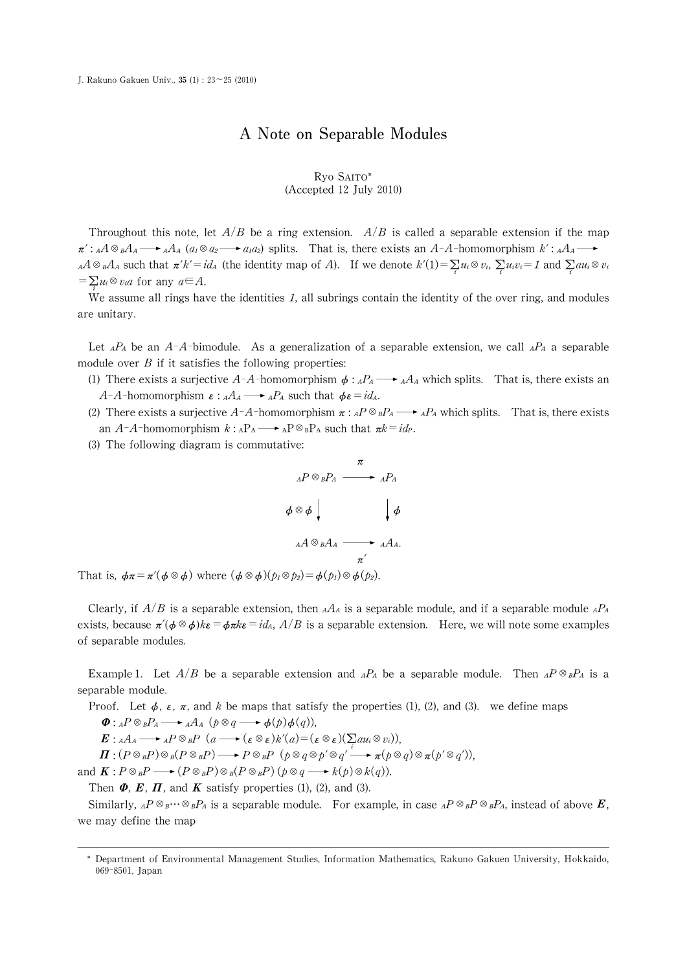## A Note on Separable Modules

## Ryo SAITO\* (Accepted 12 July 2010)

Throughout this note, let  $A/B$  be a ring extension.  $A/B$  is called a separable extension if the map  $\pi'$ :  $_A$ A $_B$ A $_A$   $\longrightarrow$   $_A$ A $_A$  ( $a_1 \otimes a_2 \longrightarrow a_1 a_2$ ) splits. That is, there exists an A-A-homomorphism  $k'$ :  $_A$ A $_A$  $_A A \otimes_B A_A$  such that  $\pi'k' = id_A$  (the identity map of A). If we denote  $k'(1) = \sum_i$  $\mathbf{z}$  $u_i \otimes v_i, \sum$  $\mathbf{z}$  $u_i v_i = 1$  and  $\sum_i$  $\mathbf{z}$  $au_i\otimes v_i$  $=\sum_{i} u_i \otimes v_i a$  for any  $a \in A$ .

 $\stackrel{\iota}{\text{We}}$  assume all rings have the identities 1, all subrings contain the identity of the over ring, and modules are unitary.

Let <sub>A</sub>P<sub>A</sub> be an A-A-bimodule. As a generalization of a separable extension, we call <sub>A</sub>P<sub>A</sub> a separable module over  $B$  if it satisfies the following properties:

(1) There exists a surjective A-A-homomorphism  $\phi:_{A}P_{A}\longrightarrow_{A}A_{A}$  which splits. That is, there exists an A-A-homomorphism  $\varepsilon$ :  $_A A_A \longrightarrow A P_A$  such that  $\phi \varepsilon = id_A$ .

- (2) There exists a surjective  $A-A$ -homomorphism  $\pi:AP \otimes_B P_A \longrightarrow AP_A$  which splits. That is, there exists an A-A-homomorphism  $k : A_{A}P_{A} \longrightarrow A_{B}P \otimes_{B}P_{A}$  such that  $\pi k = id_{P}$ .
- (3) The following diagram is commutative:

$$
{}_{A}P \otimes {}_{B}P_{A} \xrightarrow{\pi} {}_{A}P_{A}
$$
\n
$$
\phi \otimes \phi \downarrow \qquad \qquad \downarrow \phi
$$
\n
$$
{}_{A}A \otimes {}_{B}A_{A} \xrightarrow{\pi'} {}_{A}A_{A}.
$$

That is,  $\phi \pi = \pi'(\phi \otimes \phi)$  where  $(\phi \otimes \phi)(p_1 \otimes p_2) = \phi(p_1) \otimes \phi(p_2)$ .

Clearly, if  $A/B$  is a separable extension, then  $_A A_A$  is a separable module, and if a separable module  $_A P_A$ exists, because  $\pi'(\phi \otimes \phi)k\varepsilon = \phi \pi k\varepsilon = id_A$ ,  $A/B$  is a separable extension. Here, we will note some examples of separable modules.

Example 1. Let  $A/B$  be a separable extension and  $A^A$  be a separable module. Then  $A^D \otimes_B P_A$  is a separable module.

Proof. Let  $\phi$ ,  $\varepsilon$ ,  $\pi$ , and k be maps that satisfy the properties (1), (2), and (3). we define maps

 $\Phi: {}_AP\otimes_B P_A \longrightarrow {}_AA_A$   $(p\otimes q \longrightarrow \phi(p)\phi(q)),$ 

 $\mathbf{E}:_{A}A_{A}\longrightarrow_{A}P\otimes_{B}P(a\longrightarrow(\varepsilon\otimes\varepsilon)k'(a)=(\varepsilon\otimes\varepsilon)(\sum\limits_{i}au_{i}\otimes v_{i}),$ 

 $\Pi : (P \otimes_B P) \otimes_B (P \otimes_B P) \longrightarrow P \otimes_B P \; (p \otimes_q \otimes p' \otimes q' \longrightarrow \pi (p \otimes q) \otimes \pi (p' \otimes q')),$ 

and  $\mathbf{K}: P \otimes_B P \longrightarrow (P \otimes_B P) \otimes_B (P \otimes_B P)$   $(p \otimes q \longrightarrow k(p) \otimes k(q))$ .

Then  $\Phi$ ,  $\mathbf{E}$ ,  $\mathbf{\Pi}$ , and  $\mathbf{K}$  satisfy properties (1), (2), and (3).

Similarly,  ${}_AP\otimes_B\cdots\otimes_BP_A$  is a separable module. For example, in case  ${}_AP\otimes_BP\otimes_BP_A$ , instead of above  $E$ , we may define the map

웬Department of Environmental Management Studies, Information Mathematics, Rakuno Gakuen University, Hokkaido, 069-8501, Japan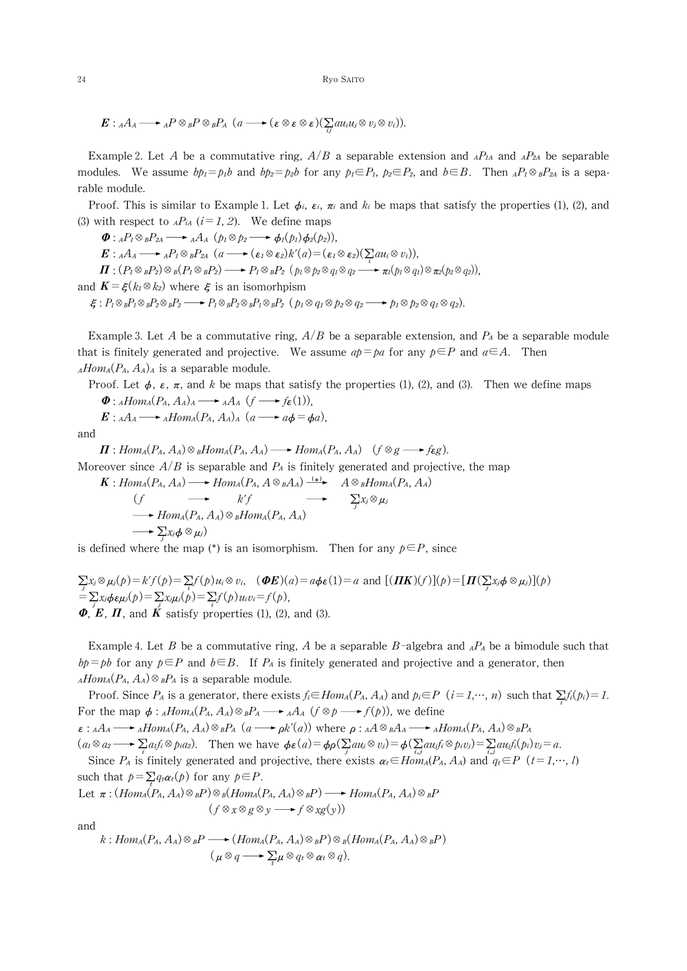24 Ryo SAITO

 $E: A A_A \longrightarrow A P \otimes_B P \otimes_B P_A$   $(a \longrightarrow (\varepsilon \otimes \varepsilon \otimes \varepsilon)(\sum_{i} a u_i u_j \otimes v_j \otimes v_i)).$ 

Example 2. Let A be a commutative ring,  $A/B$  a separable extension and  $A P_{A}$  and  $A P_{A}$  be separable modules. We assume  $bp_1 = pb$  and  $bp_2 = pb$  for any  $p_1 \in P_1$ ,  $p_2 \in P_2$ , and  $b \in B$ . Then  $AP_1 \otimes B_2$  is a separable module.

 $\boldsymbol{v}$ 

Proof. This is similar to Example 1. Let  $\phi_i$ ,  $\varepsilon_i$ ,  $\pi_i$  and  $k_i$  be maps that satisfy the properties (1), (2), and (3) with respect to  $_AP_{iA}$  ( $i=1,2$ ). We define maps

 $\Phi: {}_A P_1 \otimes {}_B P_{2A} \longrightarrow {}_A A_A (\rho_1 \otimes \rho_2 \longrightarrow \phi_1(\rho_1) \phi_2(\rho_2)),$  $E: A A_A \longrightarrow A P_1 \otimes_B P_{2A} \ (a \longrightarrow (\varepsilon_1 \otimes \varepsilon_2) k'(a) = (\varepsilon_1 \otimes \varepsilon_2) (\sum a u_i \otimes v_i),$  $\Pi: (P_1 \otimes_B P_2) \otimes_B (P_1 \otimes_B P_2) \longrightarrow P_1 \otimes_B P_2$   $(p_1 \otimes p_2 \otimes q_1 \otimes q_2 \longrightarrow \pi_1(p_1 \otimes q_1) \otimes \pi_2(p_2 \otimes q_2)),$ and  $\mathbf{K} = \xi(k_1 \otimes k_2)$  where  $\xi$  is an isomorhpism  $\xi: P_1 \otimes_B P_1 \otimes_B P_2 \otimes_B P_2 \longrightarrow P_1 \otimes_B P_2 \otimes_B P_1 \otimes_B P_2$  ( $p_1 \otimes q_1 \otimes p_2 \otimes q_2 \longrightarrow p_1 \otimes p_2 \otimes q_1 \otimes q_2$ ).

Example 3. Let A be a commutative ring,  $A/B$  be a separable extension, and  $P_A$  be a separable module that is finitely generated and projective. We assume  $a\phi = pa$  for any  $p \in P$  and  $a \in A$ . Then  $_{A}Hom_{A}(P_{A},A_{A})_{A}$  is a separable module.

Proof. Let  $\phi$ ,  $\varepsilon$ ,  $\pi$ , and k be maps that satisfy the properties (1), (2), and (3). Then we define maps  $\Phi: {}_A Hom_A(P_A, A_A)_A \longrightarrow {}_A A_A (f \longrightarrow f_{\mathcal{E}}(1)),$ 

$$
E: {}_{A}A_{A} \longrightarrow {}_{A}Hom_{A}(P_{A}, A_{A})_{A} \ (a \longrightarrow a\phi = \phi a),
$$

and

 $\Pi:Hom_A(P_A, A_A) \otimes {}_B Hom_A(P_A, A_A) \longrightarrow Hom_A(P_A, A_A)$   $(f \otimes g \longrightarrow f \epsilon g)$ . Moreover since  $A/B$  is separable and  $P_A$  is finitely generated and projective, the map

$$
K: Hom_A(P_A, A_A) \longrightarrow Hom_A(P_A, A \otimes_B A_A) \xrightarrow{(*)} A \otimes_B Hom_A(P_A, A_A)
$$
  
\n
$$
(f \longrightarrow k'f \longrightarrow \sum_j x_j \otimes \mu_j
$$
  
\n
$$
\longrightarrow Hom_A(P_A, A_A) \otimes_B Hom_A(P_A, A_A)
$$
  
\n
$$
\longrightarrow \sum_j x_j \phi \otimes \mu_j
$$

is defined where the map (\*) is an isomorphism. Then for any  $p \in P$ , since

$$
\sum_{j} x_{j} \otimes \mu_{j}(p) = k'f(p) = \sum_{i} f(p)u_{i} \otimes v_{i}, \quad (\mathbf{\Phi} \mathbf{E})(a) = a\phi\epsilon(1) = a \text{ and } [(\mathbf{\Pi} \mathbf{K})(f)](p) = [\mathbf{\Pi}(\sum_{j} x_{j}\phi \otimes \mu_{j})](p) = \sum_{j} x_{j}\mu_{j}(p) = \sum_{i} f(p)u_{i}v_{i} = f(p),
$$
\n
$$
\mathbf{\Phi}, \mathbf{E}, \mathbf{\Pi}, \text{ and } \mathbf{K} \text{ satisfy properties (1), (2), and (3).}
$$

Example 4. Let B be a commutative ring, A be a separable B-algebra and  $_A P_A$  be a bimodule such that  $b\bar{p} = p\bar{b}$  for any  $\bar{p} \in P$  and  $\bar{b} \in B$ . If  $P_A$  is finitely generated and projective and a generator, then  $_A Hom_A(P_A, A_A) \otimes_B P_A$  is a separable module.

Proof. Since  $P_A$  is a generator, there exists  $f_i \in Hom_A(P_A, A_A)$  and  $p_i \in P$   $(i = 1, ..., n)$  such that  $\sum f_i(p_i) = 1$ .  $\iota$ For the map  $\phi: {}_A Hom_A(P_A, A_A) \otimes {}_B P_A \longrightarrow {}_A A_A$   $(f \otimes p \longrightarrow f(p))$ , we define

 $\varepsilon:_{A}A_{A} \longrightarrow_{A} Hom_{A}(P_{A}, A_{A}) \otimes_{B}P_{A}$   $(a \longrightarrow \rho k'(a))$  where  $\rho:_{A}A \otimes_{B}A_{A} \longrightarrow_{A} Hom_{A}(P_{A}, A_{A}) \otimes_{B}P_{A}$  $(a_1 \otimes a_2 \longrightarrow \sum a_1 f_i \otimes p_1 a_2)$ . Then we have  $\phi \epsilon(a) = \phi \rho(\sum a_1 a_2 \otimes v_1) = \phi(\sum a_1 f_i \otimes p_1 a_2) = \sum a_1 f_i \otimes p_1 a_2$ .

Since  $P_A$  is finitely generated and projective, there exists  $\alpha_t \in Hom_A(P_A, A_A)$  and  $q_t \in P$   $(t = 1, ..., l)$ such that  $p=\sum$  $\sigma^t_{\bm{D}}$  $q_t \alpha_t(p)$  for any  $p \in P$ .

Let 
$$
\pi : (Hom_A(P_A, A_A) \otimes_B P) \otimes_B (Hom_A(P_A, A_A) \otimes_B P) \longrightarrow Hom_A(P_A, A_A) \otimes_B P
$$
  
\n $(f \otimes x \otimes g \otimes y \longrightarrow f \otimes xg(y))$ 

and

$$
k: Hom_A(P_A, A_A) \otimes B \longrightarrow (Hom_A(P_A, A_A) \otimes B) \otimes B (Hom_A(P_A, A_A) \otimes B)
$$
  

$$
(\mu \otimes q \longrightarrow \sum_t \mu \otimes q_t \otimes \alpha_t \otimes q).
$$